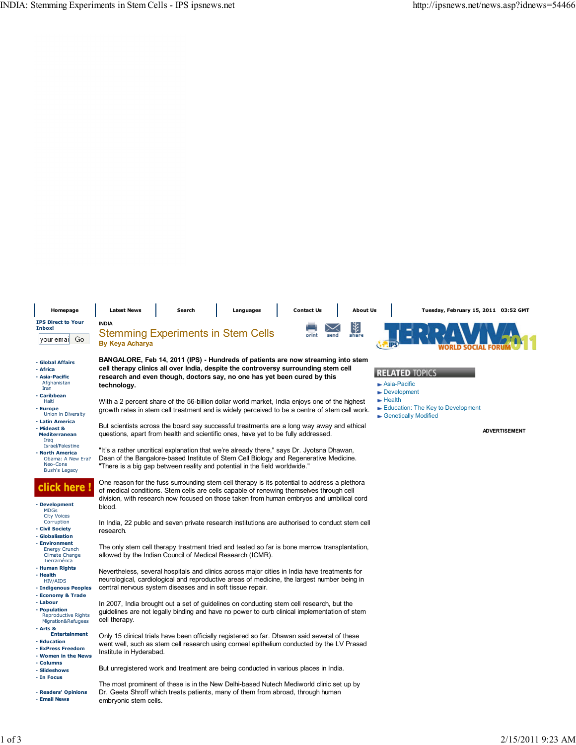| Homepage                                                                                     | <b>Latest News</b>                                                                                                                                                                                                                                                          | Search                                                                                                                                                                                                                                                                              | Languages | <b>Contact Us</b> |  | <b>About Us</b> |                                                   | Tuesday, February 15, 2011 03:52 GMT |
|----------------------------------------------------------------------------------------------|-----------------------------------------------------------------------------------------------------------------------------------------------------------------------------------------------------------------------------------------------------------------------------|-------------------------------------------------------------------------------------------------------------------------------------------------------------------------------------------------------------------------------------------------------------------------------------|-----------|-------------------|--|-----------------|---------------------------------------------------|--------------------------------------|
| <b>IPS Direct to Your</b><br>Inbox!                                                          | <b>INDIA</b>                                                                                                                                                                                                                                                                |                                                                                                                                                                                                                                                                                     |           |                   |  | M               |                                                   |                                      |
| Go<br>your emai                                                                              | <b>Stemming Experiments in Stem Cells</b><br>send<br>share<br>nrint<br><b>By Keya Acharya</b>                                                                                                                                                                               |                                                                                                                                                                                                                                                                                     |           |                   |  |                 |                                                   |                                      |
| - Global Affairs<br>- Africa<br>- Asia-Pacific                                               | BANGALORE, Feb 14, 2011 (IPS) - Hundreds of patients are now streaming into stem<br>cell therapy clinics all over India, despite the controversy surrounding stem cell<br><b>RELATED TOPICS</b><br>research and even though, doctors say, no one has yet been cured by this |                                                                                                                                                                                                                                                                                     |           |                   |  |                 |                                                   |                                      |
| Afghanistan<br>Iran                                                                          | technology.                                                                                                                                                                                                                                                                 |                                                                                                                                                                                                                                                                                     |           |                   |  |                 | $\blacktriangleright$ Asia-Pacific<br>Development |                                      |
| - Caribbean<br>Haiti                                                                         | $\blacktriangleright$ Health<br>With a 2 percent share of the 56-billion dollar world market, India enjoys one of the highest                                                                                                                                               |                                                                                                                                                                                                                                                                                     |           |                   |  |                 |                                                   |                                      |
| - Europe<br>Union in Diversity                                                               | Education: The Key to Development<br>growth rates in stem cell treatment and is widely perceived to be a centre of stem cell work.<br>Genetically Modified                                                                                                                  |                                                                                                                                                                                                                                                                                     |           |                   |  |                 |                                                   |                                      |
| - Latin America<br>- Mideast &<br><b>Mediterranean</b><br>Iraq                               |                                                                                                                                                                                                                                                                             | But scientists across the board say successful treatments are a long way away and ethical<br>questions, apart from health and scientific ones, have yet to be fully addressed.                                                                                                      |           |                   |  |                 |                                                   | <b>ADVERTISEMENT</b>                 |
| Israel/Palestine<br>- North America<br>Obama: A New Era?<br>Neo-Cons<br><b>Bush's Legacy</b> |                                                                                                                                                                                                                                                                             | "It's a rather uncritical explanation that we're already there," says Dr. Jyotsna Dhawan,<br>Dean of the Bangalore-based Institute of Stem Cell Biology and Regenerative Medicine.<br>"There is a big gap between reality and potential in the field worldwide."                    |           |                   |  |                 |                                                   |                                      |
| ick here l                                                                                   |                                                                                                                                                                                                                                                                             | One reason for the fuss surrounding stem cell therapy is its potential to address a plethora<br>of medical conditions. Stem cells are cells capable of renewing themselves through cell<br>division, with research now focused on those taken from human embryos and umbilical cord |           |                   |  |                 |                                                   |                                      |
| - Development<br><b>MDGs</b><br><b>City Voices</b><br>Corruption                             | blood.                                                                                                                                                                                                                                                                      |                                                                                                                                                                                                                                                                                     |           |                   |  |                 |                                                   |                                      |
| - Civil Society<br>- Globalisation                                                           | In India, 22 public and seven private research institutions are authorised to conduct stem cell<br>research.                                                                                                                                                                |                                                                                                                                                                                                                                                                                     |           |                   |  |                 |                                                   |                                      |
| - Environment<br><b>Energy Crunch</b><br><b>Climate Change</b><br>Tierramérica               | The only stem cell therapy treatment tried and tested so far is bone marrow transplantation,<br>allowed by the Indian Council of Medical Research (ICMR).                                                                                                                   |                                                                                                                                                                                                                                                                                     |           |                   |  |                 |                                                   |                                      |
| - Human Rights<br>- Health<br><b>HIV/AIDS</b>                                                |                                                                                                                                                                                                                                                                             | Nevertheless, several hospitals and clinics across major cities in India have treatments for<br>neurological, cardiological and reproductive areas of medicine, the largest number being in                                                                                         |           |                   |  |                 |                                                   |                                      |
| - Indigenous Peoples<br>- Economy & Trade                                                    | central nervous system diseases and in soft tissue repair.                                                                                                                                                                                                                  |                                                                                                                                                                                                                                                                                     |           |                   |  |                 |                                                   |                                      |
| - Labour<br>- Population<br><b>Reproductive Rights</b><br>Migration&Refugees                 | cell therapy.                                                                                                                                                                                                                                                               | In 2007, India brought out a set of guidelines on conducting stem cell research, but the<br>guidelines are not legally binding and have no power to curb clinical implementation of stem                                                                                            |           |                   |  |                 |                                                   |                                      |
| - Arts &<br><b>Entertainment</b><br>- Education<br>- ExPress Freedom<br>- Women in the News  | Institute in Hyderabad.                                                                                                                                                                                                                                                     | Only 15 clinical trials have been officially registered so far. Dhawan said several of these<br>went well, such as stem cell research using corneal epithelium conducted by the LV Prasad                                                                                           |           |                   |  |                 |                                                   |                                      |
| - Columns                                                                                    |                                                                                                                                                                                                                                                                             |                                                                                                                                                                                                                                                                                     |           |                   |  |                 |                                                   |                                      |
| - Slideshows<br>- In Focus                                                                   |                                                                                                                                                                                                                                                                             | But unregistered work and treatment are being conducted in various places in India.                                                                                                                                                                                                 |           |                   |  |                 |                                                   |                                      |
| - Readers' Opinions<br>- Email News                                                          | embryonic stem cells.                                                                                                                                                                                                                                                       | The most prominent of these is in the New Delhi-based Nutech Mediworld clinic set up by<br>Dr. Geeta Shroff which treats patients, many of them from abroad, through human                                                                                                          |           |                   |  |                 |                                                   |                                      |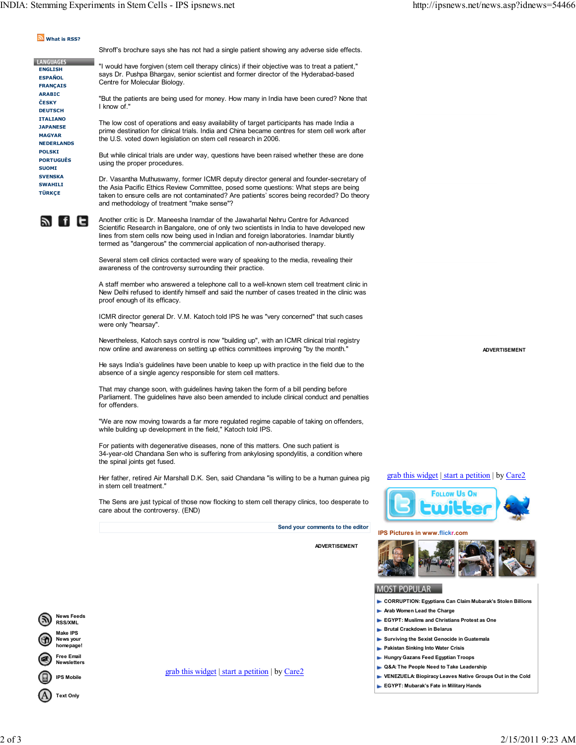## What is RSS?

Shroff's brochure says she has not had a single patient showing any adverse side effects.

**LANGUAGES**  ENGLISH **ESPAÑOL FRANCAIS**  ARABIC **ČESKY DEUTSCH**  ITALIANO JAPANESE MAGYAR NEDERLANDS POLSKI PORTUGUÊS **SUOMI SVENSKA SWAHILI TÜRKCE** 

"I would have forgiven (stem cell therapy clinics) if their objective was to treat a patient," says Dr. Pushpa Bhargav, senior scientist and former director of the Hyderabad-based Centre for Molecular Biology.

"But the patients are being used for money. How many in India have been cured? None that I know of."

The low cost of operations and easy availability of target participants has made India a prime destination for clinical trials. India and China became centres for stem cell work after the U.S. voted down legislation on stem cell research in 2006.

But while clinical trials are under way, questions have been raised whether these are done using the proper procedures.

Dr. Vasantha Muthuswamy, former ICMR deputy director general and founder-secretary of the Asia Pacific Ethics Review Committee, posed some questions: What steps are being taken to ensure cells are not contaminated? Are patients' scores being recorded? Do theory and methodology of treatment "make sense"?



Another critic is Dr. Maneesha Inamdar of the Jawaharlal Nehru Centre for Advanced Scientific Research in Bangalore, one of only two scientists in India to have developed new lines from stem cells now being used in Indian and foreign laboratories. Inamdar bluntly termed as "dangerous" the commercial application of non-authorised therapy.

Several stem cell clinics contacted were wary of speaking to the media, revealing their awareness of the controversy surrounding their practice.

A staff member who answered a telephone call to a well-known stem cell treatment clinic in New Delhi refused to identify himself and said the number of cases treated in the clinic was proof enough of its efficacy.

ICMR director general Dr. V.M. Katoch told IPS he was "very concerned" that such cases were only "hearsay".

Nevertheless, Katoch says control is now "building up", with an ICMR clinical trial registry now online and awareness on setting up ethics committees improving "by the month."

He says India's guidelines have been unable to keep up with practice in the field due to the absence of a single agency responsible for stem cell matters.

That may change soon, with guidelines having taken the form of a bill pending before Parliament. The guidelines have also been amended to include clinical conduct and penalties for offenders.

"We are now moving towards a far more regulated regime capable of taking on offenders, while building up development in the field," Katoch told IPS.

For patients with degenerative diseases, none of this matters. One such patient is 34-year-old Chandana Sen who is suffering from ankylosing spondylitis, a condition where the spinal joints get fused.

Her father, retired Air Marshall D.K. Sen, said Chandana "is willing to be a human guinea pig in stem cell treatment."

The Sens are just typical of those now flocking to stem cell therapy clinics, too desperate to care about the controversy. (END)

Send your comments to the editor

ADVERTISEMENT

IPS Pictures in www.flickr.com

grab this widget | start a petition | by Care2

 $F_{0110W}$  He  $0<sub>1</sub>$ 

## **MOST POPULAR**

- **CORRUPTION: Egyptians Can Claim Mubarak's Stolen Billions**
- **Arab Women Lead the Charge**
- EGYPT: Muslims and Christians Protest as One
- **Brutal Crackdown in Belarus**
- Surviving the Sexist Genocide in Guatemala
- **Pakistan Sinking Into Water Crisis**
- Hungry Gazans Feed Egyptian Troops
- ► Q&A: The People Need to Take Leadership VENEZUELA: Biopiracy Leaves Native Groups Out in the Cold
- EGYPT: Mubarak's Fate in Military Hands

Text Only

News Feeds RSS/XML ake IPS News your homepage! Free Email Newsletters IPS Mobile

grab this widget | start a petition | by Care2

ADVERTISEMENT